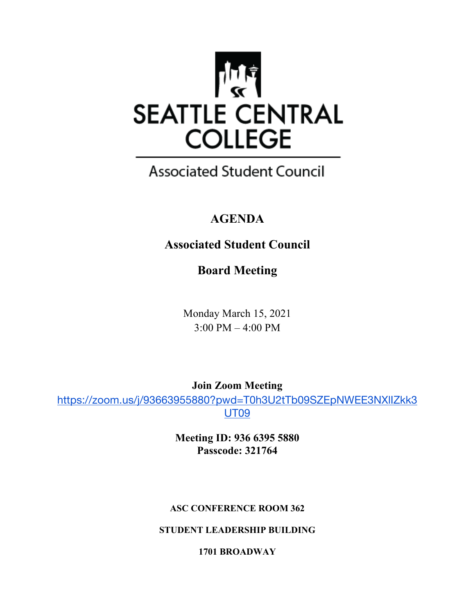

## **Associated Student Council**

## **AGENDA**

## **Associated Student Council**

**Board Meeting**

Monday March 15, 2021 3:00 PM – 4:00 PM

**Join Zoom Meeting**

https://zoom.us/j/93663955880?pwd=T0h3U2tTb09SZEpNWEE3NXlIZkk3 UT09

> **Meeting ID: 936 6395 5880 Passcode: 321764**

#### **ASC CONFERENCE ROOM 362**

**STUDENT LEADERSHIP BUILDING**

**1701 BROADWAY**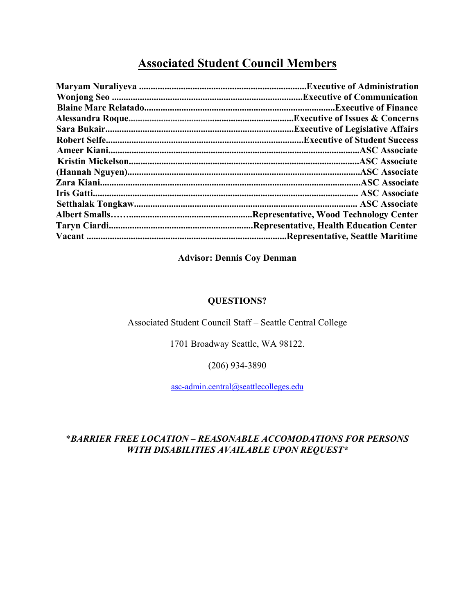### **Associated Student Council Members**

| <b>Executive of Issues &amp; Concerns.</b> |
|--------------------------------------------|
| <b>Executive of Legislative Affairs.</b>   |
|                                            |
|                                            |
|                                            |
|                                            |
|                                            |
|                                            |
|                                            |
|                                            |
| Representative, Health Education Center    |
| Representative, Seattle Maritime.          |
|                                            |

#### **Advisor: Dennis Coy Denman**

#### **QUESTIONS?**

#### Associated Student Council Staff – Seattle Central College

1701 Broadway Seattle, WA 98122.

(206) 934-3890

asc-admin.central@seattlecolleges.edu

#### \**BARRIER FREE LOCATION – REASONABLE ACCOMODATIONS FOR PERSONS WITH DISABILITIES AVAILABLE UPON REQUEST\**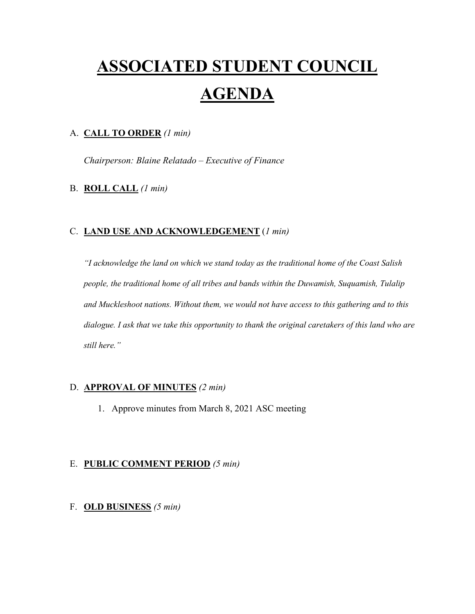# **ASSOCIATED STUDENT COUNCIL AGENDA**

#### A. **CALL TO ORDER** *(1 min)*

*Chairperson: Blaine Relatado – Executive of Finance*

#### B. **ROLL CALL** *(1 min)*

#### C. **LAND USE AND ACKNOWLEDGEMENT** (*1 min)*

*"I acknowledge the land on which we stand today as the traditional home of the Coast Salish people, the traditional home of all tribes and bands within the Duwamish, Suquamish, Tulalip and Muckleshoot nations. Without them, we would not have access to this gathering and to this dialogue. I ask that we take this opportunity to thank the original caretakers of this land who are still here."* 

#### D. **APPROVAL OF MINUTES** *(2 min)*

1. Approve minutes from March 8, 2021 ASC meeting

#### E. **PUBLIC COMMENT PERIOD** *(5 min)*

#### F. **OLD BUSINESS** *(5 min)*